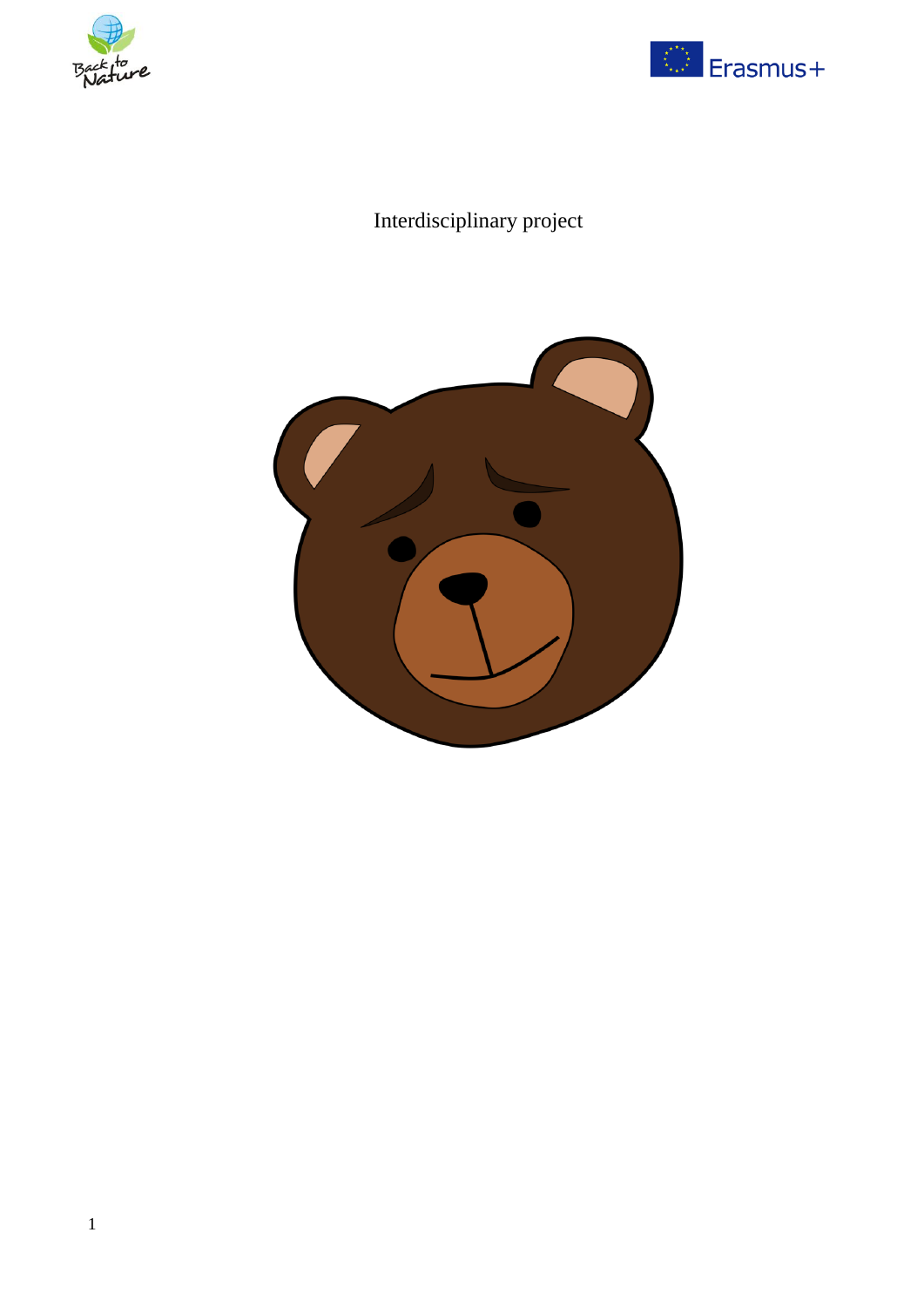



# Interdisciplinary project

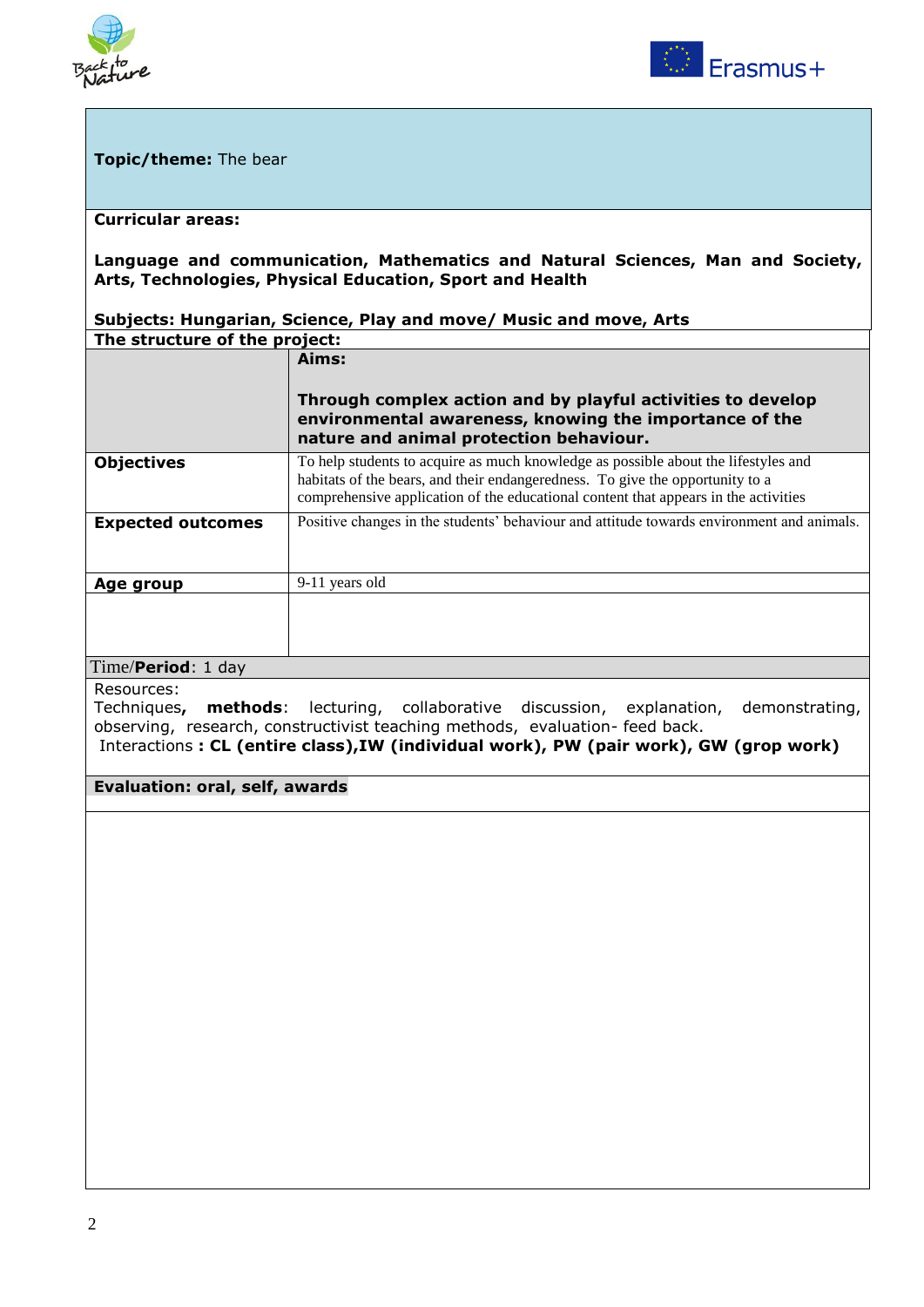



#### **Topic/theme:** The bear

#### **Curricular areas:**

#### **Language and communication, Mathematics and Natural Sciences, Man and Society, Arts, Technologies, Physical Education, Sport and Health**

#### **Subjects: Hungarian, Science, Play and move/ Music and move, Arts The structure of the project:**

|                          | Aims:                                                                                                                                                                                                                                                      |
|--------------------------|------------------------------------------------------------------------------------------------------------------------------------------------------------------------------------------------------------------------------------------------------------|
|                          | Through complex action and by playful activities to develop<br>environmental awareness, knowing the importance of the<br>nature and animal protection behaviour.                                                                                           |
| <b>Objectives</b>        | To help students to acquire as much knowledge as possible about the lifestyles and<br>habitats of the bears, and their endangeredness. To give the opportunity to a<br>comprehensive application of the educational content that appears in the activities |
| <b>Expected outcomes</b> | Positive changes in the students' behaviour and attitude towards environment and animals.                                                                                                                                                                  |
| Age group                | 9-11 years old                                                                                                                                                                                                                                             |
|                          |                                                                                                                                                                                                                                                            |

#### 4. Time/**Period**: 1 day

Resources:

Techniques**, methods**: lecturing, collaborative discussion, explanation, demonstrating, observing, research, constructivist teaching methods, evaluation- feed back. Interactions **: CL (entire class),IW (individual work), PW (pair work), GW (grop work)**

#### **6. Evaluation: oral, self, awards**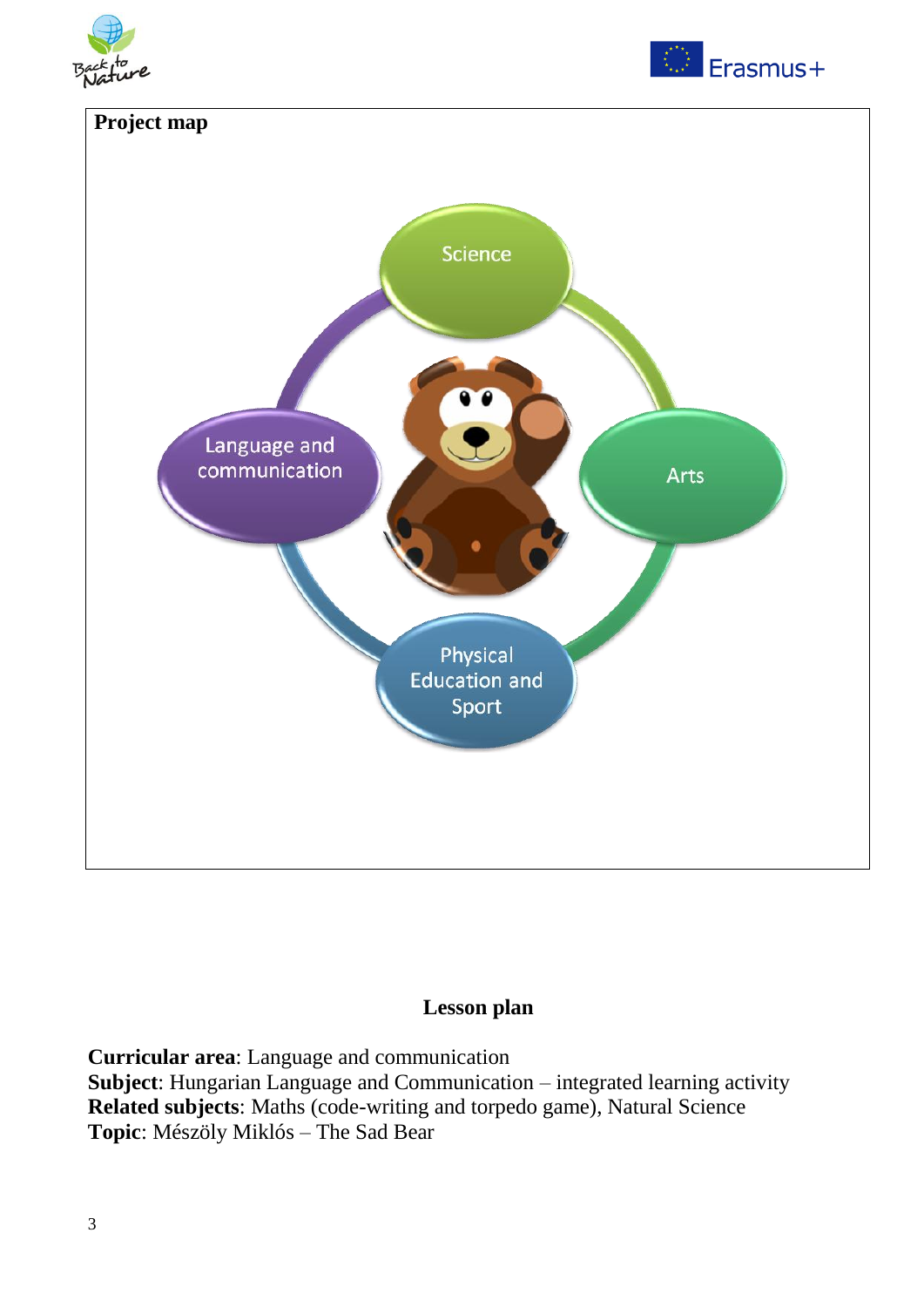





### **Lesson plan**

**Curricular area**: Language and communication **Subject**: Hungarian Language and Communication – integrated learning activity **Related subjects**: Maths (code-writing and torpedo game), Natural Science **Topic**: Mészöly Miklós – The Sad Bear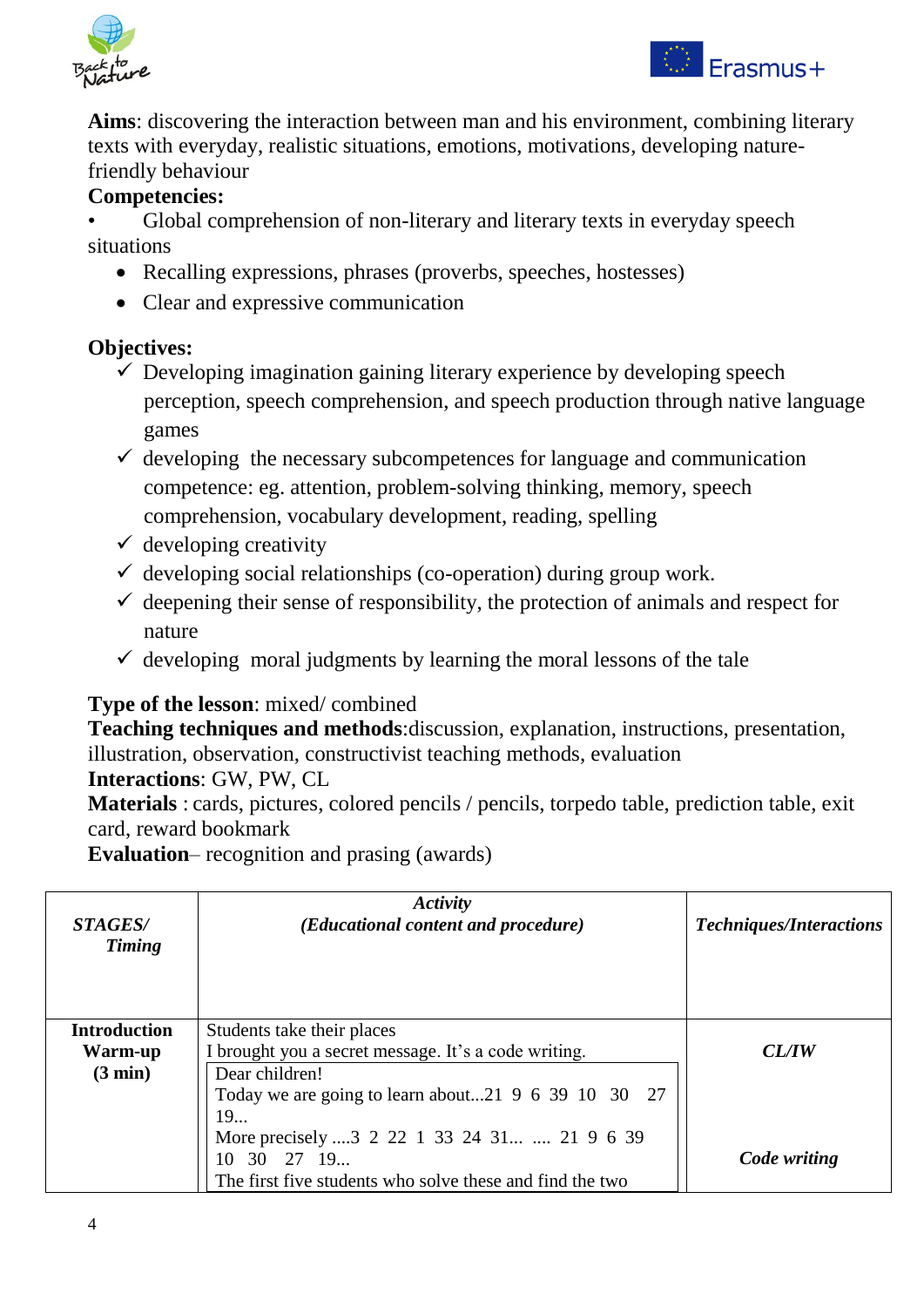



**Aims**: discovering the interaction between man and his environment, combining literary texts with everyday, realistic situations, emotions, motivations, developing naturefriendly behaviour

### **Competencies:**

• Global comprehension of non-literary and literary texts in everyday speech situations

- Recalling expressions, phrases (proverbs, speeches, hostesses)
- Clear and expressive communication

### **Objectives:**

- $\checkmark$  Developing imagination gaining literary experience by developing speech perception, speech comprehension, and speech production through native language games
- $\checkmark$  developing the necessary subcompetences for language and communication competence: eg. attention, problem-solving thinking, memory, speech comprehension, vocabulary development, reading, spelling
- $\checkmark$  developing creativity
- $\checkmark$  developing social relationships (co-operation) during group work.
- $\checkmark$  deepening their sense of responsibility, the protection of animals and respect for nature
- $\checkmark$  developing moral judgments by learning the moral lessons of the tale

### **Type of the lesson**: mixed/ combined

**Teaching techniques and methods**:discussion, explanation, instructions, presentation, illustration, observation, constructivist teaching methods, evaluation

### **Interactions**: GW, PW, CL

**Materials** : cards, pictures, colored pencils / pencils, torpedo table, prediction table, exit card, reward bookmark

**Evaluation**– recognition and prasing (awards)

| <i>STAGES/</i><br><b>Timing</b>                                 | Activity<br>( <i>Educational content and procedure</i> )   | <b>Techniques/Interactions</b> |
|-----------------------------------------------------------------|------------------------------------------------------------|--------------------------------|
| <b>Introduction</b>                                             | Students take their places                                 |                                |
| I brought you a secret message. It's a code writing.<br>Warm-up |                                                            | <i>CL/IW</i>                   |
| $(3 \text{ min})$                                               | Dear children!                                             |                                |
|                                                                 | Today we are going to learn about21 $9\,6\,39\,10\,30\,27$ |                                |
|                                                                 | 19                                                         |                                |
|                                                                 | More precisely  3 2 22 1 33 24 31  21 9 6 39               |                                |
|                                                                 | 10 30 27 19                                                | Code writing                   |
|                                                                 | The first five students who solve these and find the two   |                                |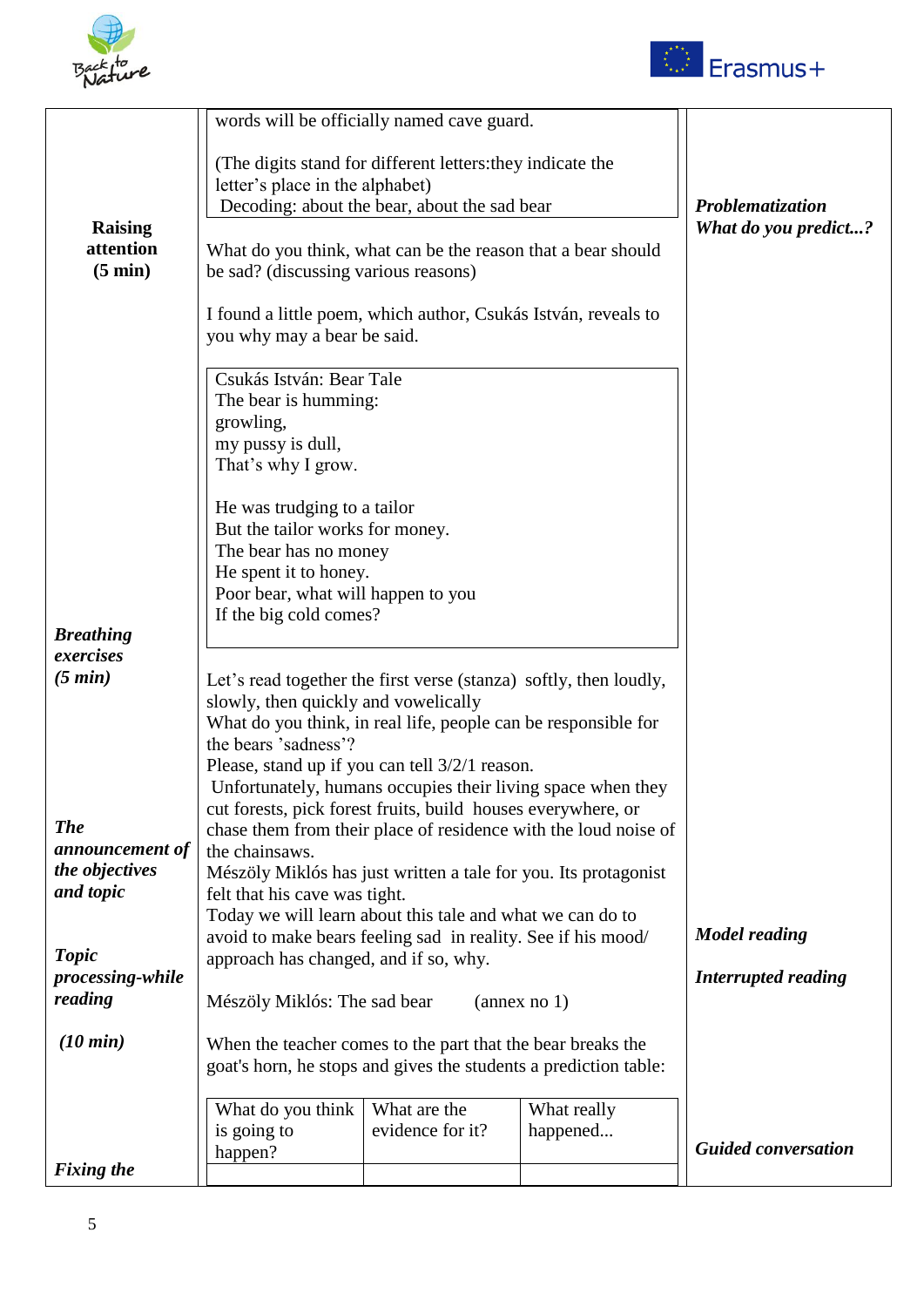



|                                |                                                                                                      | words will be officially named cave guard.                 |                                                                 |                            |  |
|--------------------------------|------------------------------------------------------------------------------------------------------|------------------------------------------------------------|-----------------------------------------------------------------|----------------------------|--|
|                                | letter's place in the alphabet)                                                                      | (The digits stand for different letters: they indicate the |                                                                 | Problematization           |  |
|                                |                                                                                                      | Decoding: about the bear, about the sad bear               |                                                                 |                            |  |
| <b>Raising</b>                 |                                                                                                      |                                                            |                                                                 | What do you predict?       |  |
| attention<br>$(5 \text{ min})$ | What do you think, what can be the reason that a bear should<br>be sad? (discussing various reasons) |                                                            |                                                                 |                            |  |
|                                | I found a little poem, which author, Csukás István, reveals to<br>you why may a bear be said.        |                                                            |                                                                 |                            |  |
|                                |                                                                                                      |                                                            |                                                                 |                            |  |
|                                | Csukás István: Bear Tale                                                                             |                                                            |                                                                 |                            |  |
|                                | The bear is humming:                                                                                 |                                                            |                                                                 |                            |  |
|                                | growling,                                                                                            |                                                            |                                                                 |                            |  |
|                                | my pussy is dull,                                                                                    |                                                            |                                                                 |                            |  |
|                                | That's why I grow.                                                                                   |                                                            |                                                                 |                            |  |
|                                | He was trudging to a tailor                                                                          |                                                            |                                                                 |                            |  |
|                                | But the tailor works for money.                                                                      |                                                            |                                                                 |                            |  |
|                                | The bear has no money                                                                                |                                                            |                                                                 |                            |  |
|                                | He spent it to honey.                                                                                |                                                            |                                                                 |                            |  |
|                                | Poor bear, what will happen to you                                                                   |                                                            |                                                                 |                            |  |
|                                | If the big cold comes?                                                                               |                                                            |                                                                 |                            |  |
| <b>Breathing</b>               |                                                                                                      |                                                            |                                                                 |                            |  |
| exercises                      |                                                                                                      |                                                            |                                                                 |                            |  |
| (5 min)                        | Let's read together the first verse (stanza) softly, then loudly,                                    |                                                            |                                                                 |                            |  |
|                                | slowly, then quickly and vowelically                                                                 |                                                            |                                                                 |                            |  |
|                                | What do you think, in real life, people can be responsible for                                       |                                                            |                                                                 |                            |  |
|                                | the bears 'sadness'?                                                                                 |                                                            |                                                                 |                            |  |
|                                | Please, stand up if you can tell 3/2/1 reason.                                                       |                                                            |                                                                 |                            |  |
|                                |                                                                                                      |                                                            | Unfortunately, humans occupies their living space when they     |                            |  |
|                                | cut forests, pick forest fruits, build houses everywhere, or                                         |                                                            |                                                                 |                            |  |
| <b>The</b>                     |                                                                                                      |                                                            | chase them from their place of residence with the loud noise of |                            |  |
| announcement of                | the chainsaws.                                                                                       |                                                            |                                                                 |                            |  |
| the objectives                 | Mészöly Miklós has just written a tale for you. Its protagonist                                      |                                                            |                                                                 |                            |  |
| and topic                      | felt that his cave was tight.                                                                        |                                                            |                                                                 |                            |  |
|                                | Today we will learn about this tale and what we can do to                                            |                                                            |                                                                 |                            |  |
|                                | avoid to make bears feeling sad in reality. See if his mood/                                         |                                                            |                                                                 | <b>Model reading</b>       |  |
| <b>Topic</b>                   | approach has changed, and if so, why.                                                                |                                                            |                                                                 | <b>Interrupted reading</b> |  |
| reading                        | <i>processing-while</i>                                                                              |                                                            |                                                                 |                            |  |
|                                | Mészöly Miklós: The sad bear                                                                         |                                                            | $($ annex no 1 $)$                                              |                            |  |
| $(10 \text{ min})$             | When the teacher comes to the part that the bear breaks the                                          |                                                            |                                                                 |                            |  |
|                                | goat's horn, he stops and gives the students a prediction table:                                     |                                                            |                                                                 |                            |  |
|                                |                                                                                                      |                                                            |                                                                 |                            |  |
|                                | What do you think                                                                                    | What are the                                               | What really                                                     |                            |  |
|                                | is going to                                                                                          | evidence for it?                                           | happened                                                        |                            |  |
|                                | happen?                                                                                              |                                                            |                                                                 | <b>Guided conversation</b> |  |
| <b>Fixing the</b>              |                                                                                                      |                                                            |                                                                 |                            |  |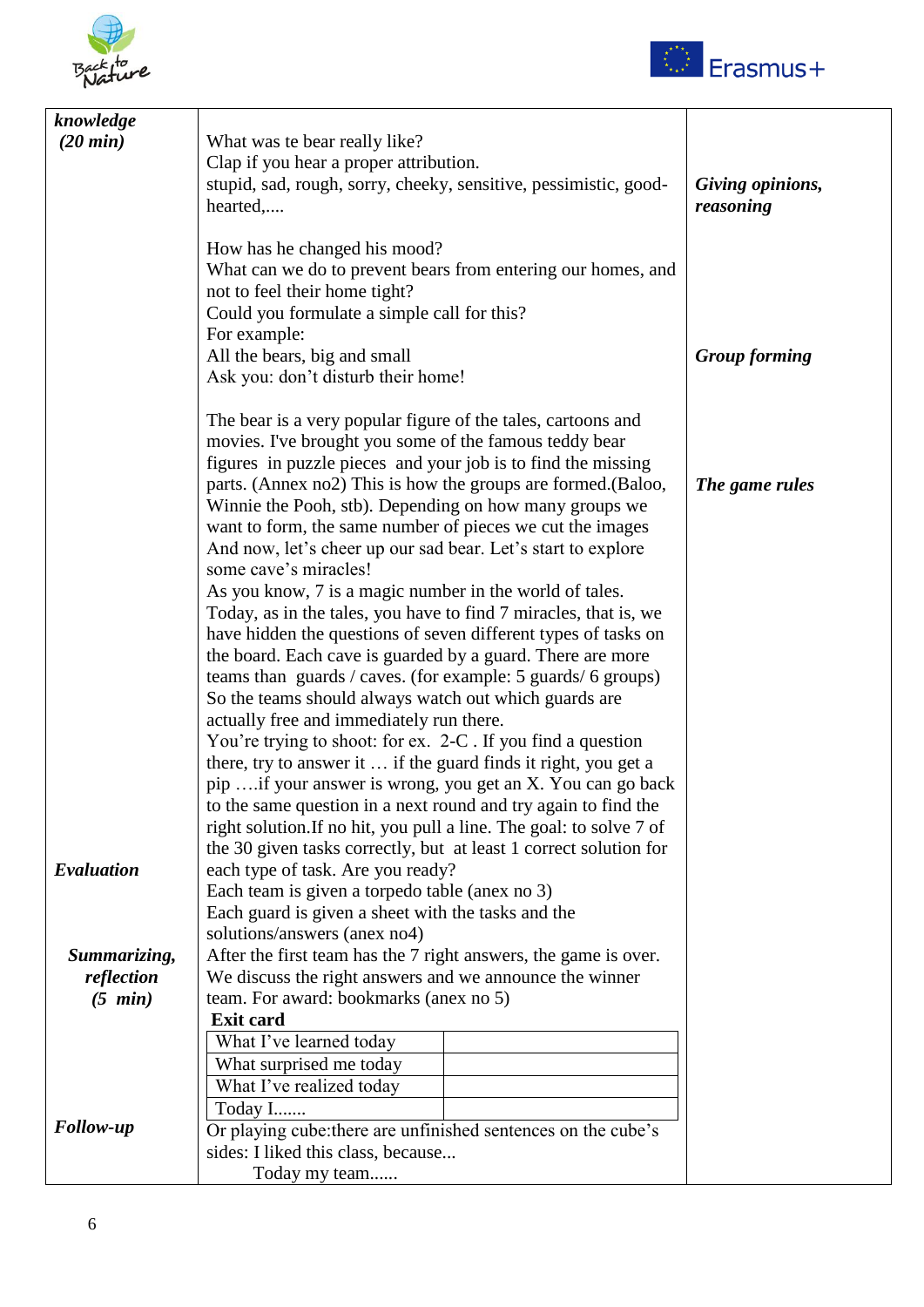



| knowledge          |                                                                                                                        |                      |
|--------------------|------------------------------------------------------------------------------------------------------------------------|----------------------|
| $(20 \text{ min})$ | What was te bear really like?                                                                                          |                      |
|                    | Clap if you hear a proper attribution.                                                                                 |                      |
|                    | stupid, sad, rough, sorry, cheeky, sensitive, pessimistic, good-                                                       | Giving opinions,     |
|                    | hearted,                                                                                                               | reasoning            |
|                    |                                                                                                                        |                      |
|                    | How has he changed his mood?                                                                                           |                      |
|                    | What can we do to prevent bears from entering our homes, and                                                           |                      |
|                    | not to feel their home tight?                                                                                          |                      |
|                    | Could you formulate a simple call for this?                                                                            |                      |
|                    | For example:                                                                                                           |                      |
|                    | All the bears, big and small                                                                                           | <b>Group forming</b> |
|                    | Ask you: don't disturb their home!                                                                                     |                      |
|                    |                                                                                                                        |                      |
|                    | The bear is a very popular figure of the tales, cartoons and<br>movies. I've brought you some of the famous teddy bear |                      |
|                    | figures in puzzle pieces and your job is to find the missing                                                           |                      |
|                    | parts. (Annex no2) This is how the groups are formed. (Baloo,                                                          | The game rules       |
|                    | Winnie the Pooh, stb). Depending on how many groups we                                                                 |                      |
|                    | want to form, the same number of pieces we cut the images                                                              |                      |
|                    | And now, let's cheer up our sad bear. Let's start to explore                                                           |                      |
|                    | some cave's miracles!                                                                                                  |                      |
|                    | As you know, 7 is a magic number in the world of tales.                                                                |                      |
|                    | Today, as in the tales, you have to find 7 miracles, that is, we                                                       |                      |
|                    | have hidden the questions of seven different types of tasks on                                                         |                      |
|                    | the board. Each cave is guarded by a guard. There are more                                                             |                      |
|                    | teams than guards / caves. (for example: 5 guards/ 6 groups)                                                           |                      |
|                    | So the teams should always watch out which guards are                                                                  |                      |
|                    | actually free and immediately run there.                                                                               |                      |
|                    | You're trying to shoot: for ex. 2-C. If you find a question                                                            |                      |
|                    | there, try to answer it  if the guard finds it right, you get a                                                        |                      |
|                    | pip if your answer is wrong, you get an X. You can go back                                                             |                      |
|                    | to the same question in a next round and try again to find the                                                         |                      |
|                    | right solution. If no hit, you pull a line. The goal: to solve 7 of                                                    |                      |
| Evaluation         | the 30 given tasks correctly, but at least 1 correct solution for<br>each type of task. Are you ready?                 |                      |
|                    | Each team is given a torpedo table (anex no 3)                                                                         |                      |
|                    | Each guard is given a sheet with the tasks and the                                                                     |                      |
|                    | solutions/answers (anex no4)                                                                                           |                      |
| Summarizing,       | After the first team has the 7 right answers, the game is over.                                                        |                      |
| reflection         | We discuss the right answers and we announce the winner                                                                |                      |
| $(5 \text{ min})$  | team. For award: bookmarks (anex no 5)                                                                                 |                      |
|                    | <b>Exit card</b>                                                                                                       |                      |
|                    | What I've learned today                                                                                                |                      |
|                    | What surprised me today                                                                                                |                      |
|                    | What I've realized today                                                                                               |                      |
|                    | Today I                                                                                                                |                      |
| <b>Follow-up</b>   | Or playing cube: there are unfinished sentences on the cube's                                                          |                      |
|                    | sides: I liked this class, because                                                                                     |                      |
|                    | Today my team                                                                                                          |                      |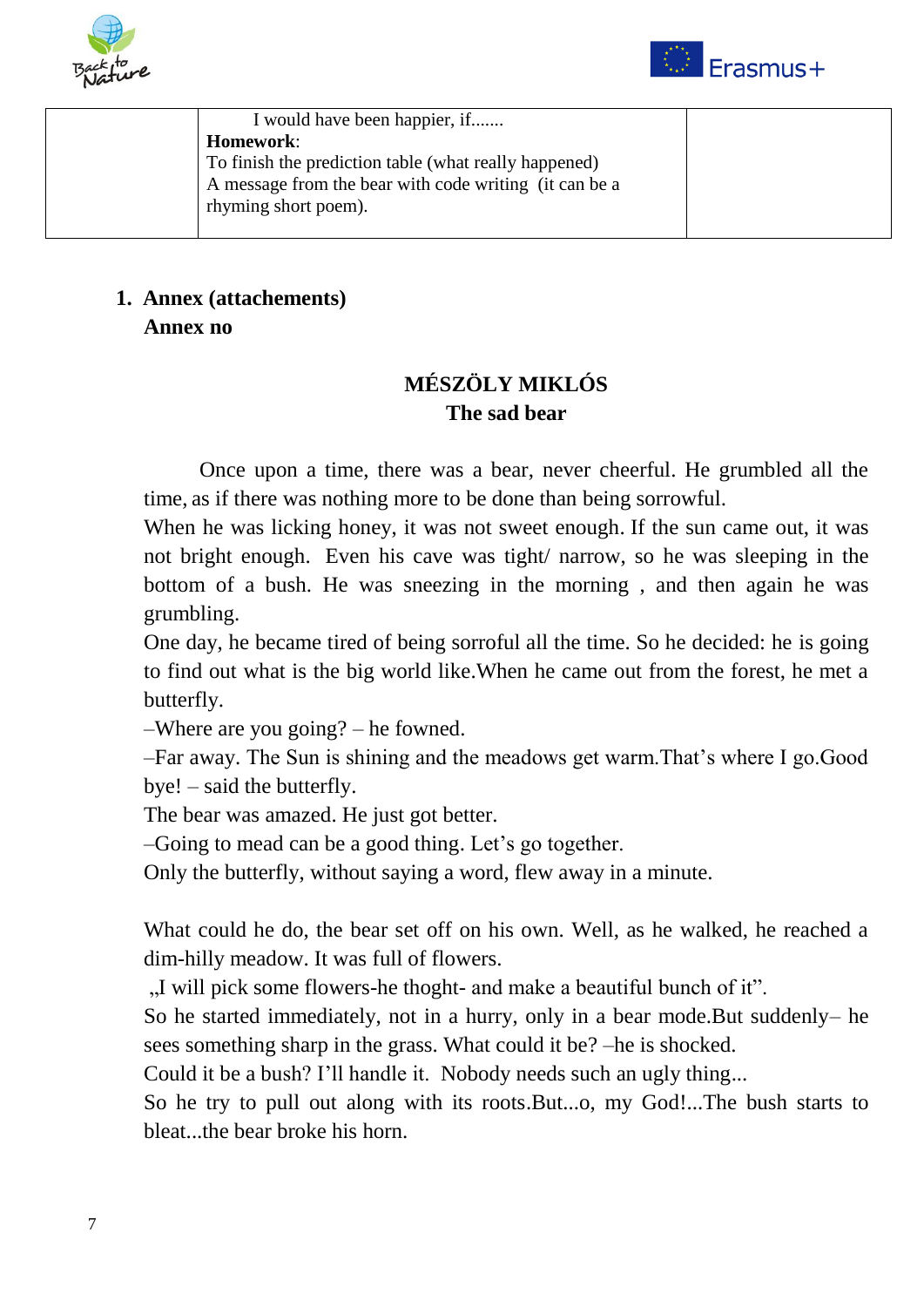



| I would have been happier, if                          |  |
|--------------------------------------------------------|--|
| <b>Homework:</b>                                       |  |
| To finish the prediction table (what really happened)  |  |
| A message from the bear with code writing (it can be a |  |
| rhyming short poem).                                   |  |
|                                                        |  |

## **1. Annex (attachements) Annex no**

## **MÉSZÖLY MIKLÓS The sad bear**

Once upon a time, there was a bear, never cheerful. He grumbled all the time, as if there was nothing more to be done than being sorrowful.

When he was licking honey, it was not sweet enough. If the sun came out, it was not bright enough. Even his cave was tight/ narrow, so he was sleeping in the bottom of a bush. He was sneezing in the morning , and then again he was grumbling.

One day, he became tired of being sorroful all the time. So he decided: he is going to find out what is the big world like.When he came out from the forest, he met a butterfly.

–Where are you going? – he fowned.

–Far away. The Sun is shining and the meadows get warm.That's where I go.Good bye! – said the butterfly.

The bear was amazed. He just got better.

–Going to mead can be a good thing. Let's go together.

Only the butterfly, without saying a word, flew away in a minute.

What could he do, the bear set off on his own. Well, as he walked, he reached a dim-hilly meadow. It was full of flowers.

"I will pick some flowers-he thoght- and make a beautiful bunch of it.

So he started immediately, not in a hurry, only in a bear mode.But suddenly– he sees something sharp in the grass. What could it be? –he is shocked.

Could it be a bush? I'll handle it. Nobody needs such an ugly thing...

So he try to pull out along with its roots.But...o, my God!...The bush starts to bleat...the bear broke his horn.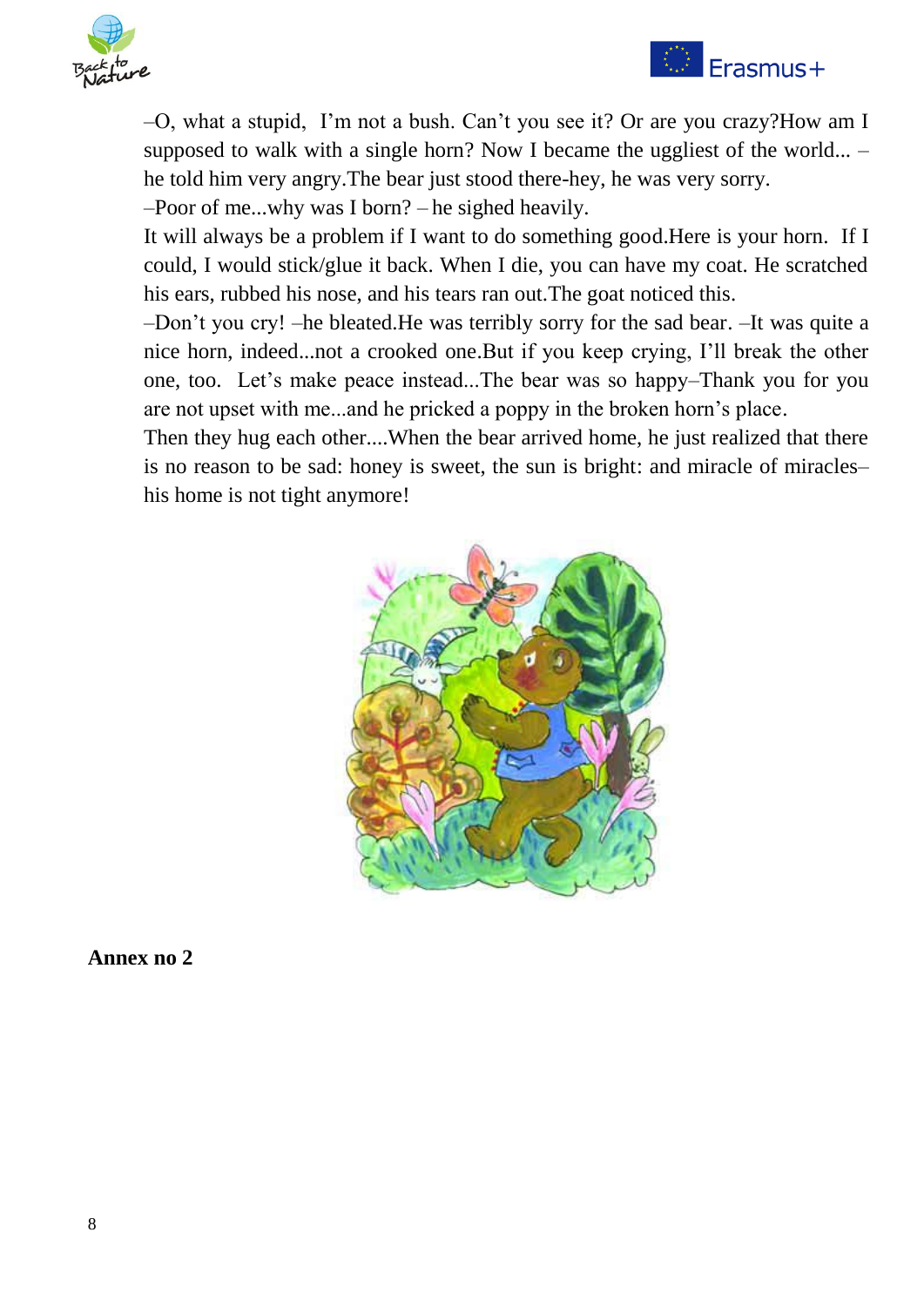

# $\bigcirc$  Erasmus+

–O, what a stupid, I'm not a bush. Can't you see it? Or are you crazy?How am I supposed to walk with a single horn? Now I became the uggliest of the world... – he told him very angry.The bear just stood there-hey, he was very sorry.

–Poor of me...why was I born? – he sighed heavily.

It will always be a problem if I want to do something good.Here is your horn. If I could, I would stick/glue it back. When I die, you can have my coat. He scratched his ears, rubbed his nose, and his tears ran out.The goat noticed this.

–Don't you cry! –he bleated.He was terribly sorry for the sad bear. –It was quite a nice horn, indeed...not a crooked one.But if you keep crying, I'll break the other one, too. Let's make peace instead...The bear was so happy–Thank you for you are not upset with me...and he pricked a poppy in the broken horn's place.

Then they hug each other....When the bear arrived home, he just realized that there is no reason to be sad: honey is sweet, the sun is bright: and miracle of miracles– his home is not tight anymore!



**Annex no 2**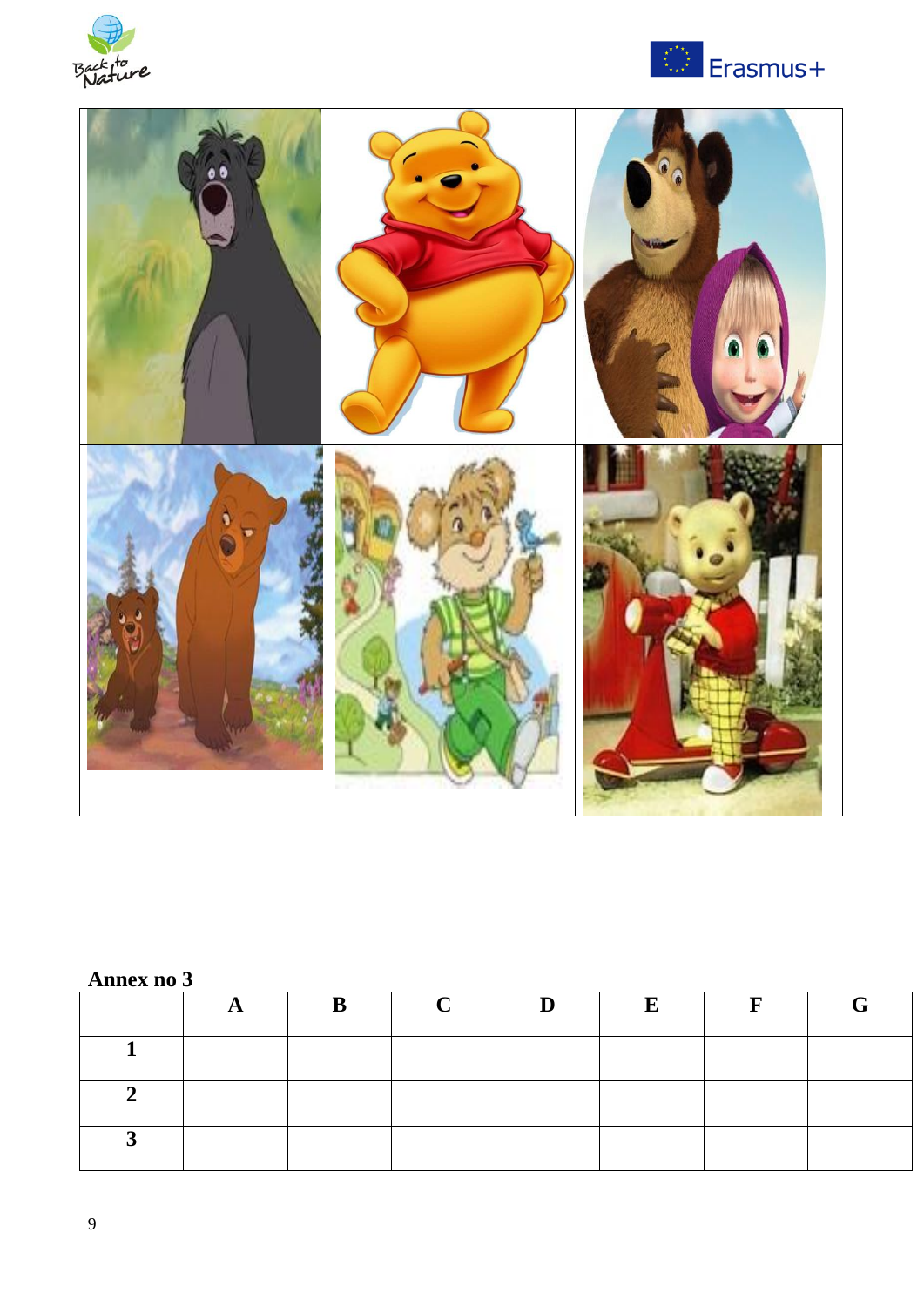





# **Annex no 3**

|          | $\mathbf{B}$ | $\bf C$ | $\mathbf{D}$ | $\mathbf E$ | $\mathbf{F}$ |  |
|----------|--------------|---------|--------------|-------------|--------------|--|
|          |              |         |              |             |              |  |
| ◠        |              |         |              |             |              |  |
| <b>C</b> |              |         |              |             |              |  |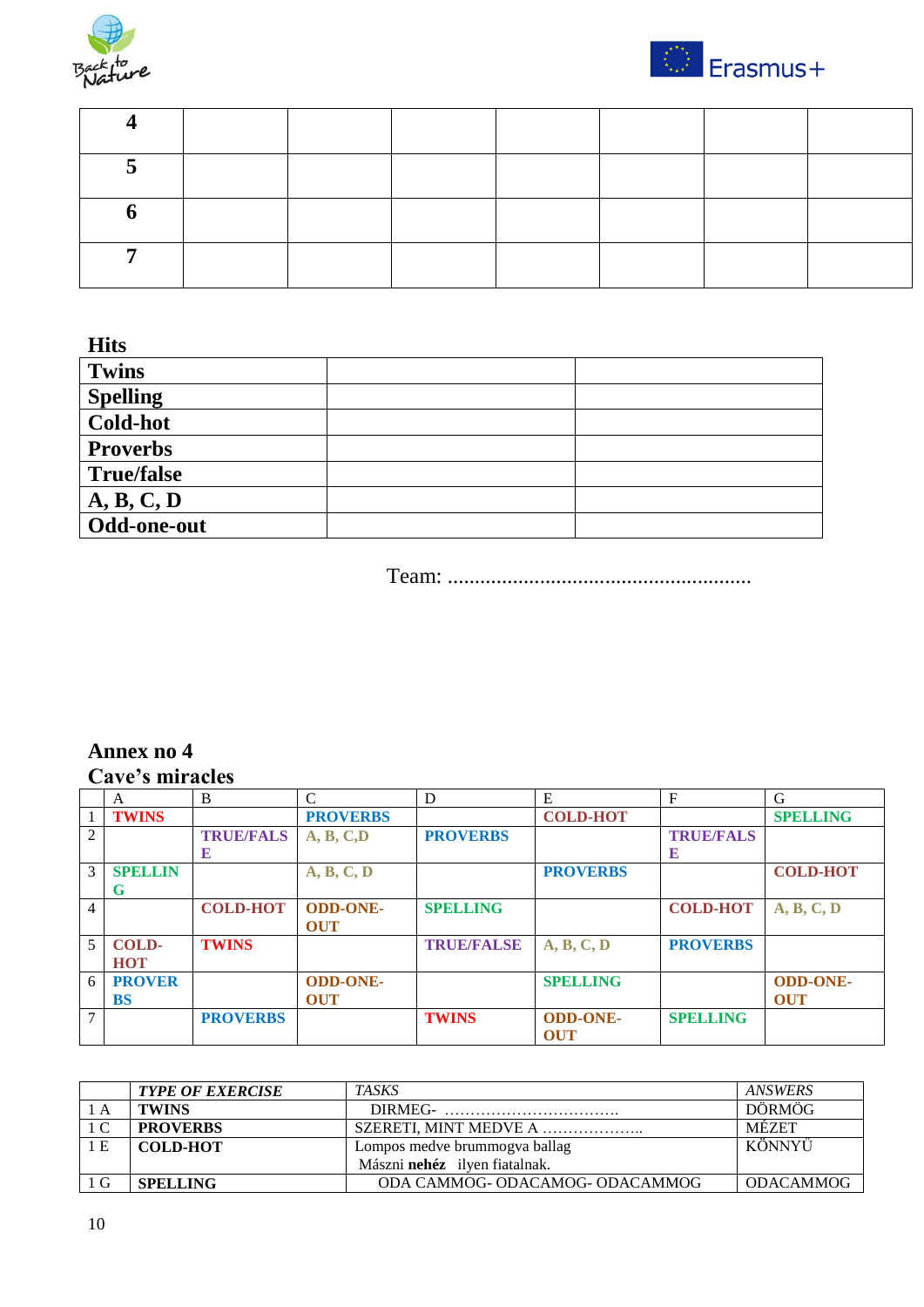



**Hits**

| <b>Twins</b>      |  |
|-------------------|--|
| <b>Spelling</b>   |  |
| <b>Cold-hot</b>   |  |
| <b>Proverbs</b>   |  |
| <b>True/false</b> |  |
| A, B, C, D        |  |
| Odd-one-out       |  |

Team: ........................................................

### **Annex no 4 Cave's miracles**

|                | A              | B                | $\mathcal{C}$   | D                 | E               | F                | G               |
|----------------|----------------|------------------|-----------------|-------------------|-----------------|------------------|-----------------|
|                | <b>TWINS</b>   |                  | <b>PROVERBS</b> |                   | <b>COLD-HOT</b> |                  | <b>SPELLING</b> |
| 2              |                | <b>TRUE/FALS</b> | A, B, C, D      | <b>PROVERBS</b>   |                 | <b>TRUE/FALS</b> |                 |
|                |                | E                |                 |                   |                 | E                |                 |
| 3              | <b>SPELLIN</b> |                  | A, B, C, D      |                   | <b>PROVERBS</b> |                  | <b>COLD-HOT</b> |
|                | G              |                  |                 |                   |                 |                  |                 |
| $\overline{4}$ |                | <b>COLD-HOT</b>  | <b>ODD-ONE-</b> | <b>SPELLING</b>   |                 | <b>COLD-HOT</b>  | A, B, C, D      |
|                |                |                  | <b>OUT</b>      |                   |                 |                  |                 |
| 5              | <b>COLD-</b>   | <b>TWINS</b>     |                 | <b>TRUE/FALSE</b> | A, B, C, D      | <b>PROVERBS</b>  |                 |
|                | <b>HOT</b>     |                  |                 |                   |                 |                  |                 |
| 6              | <b>PROVER</b>  |                  | <b>ODD-ONE-</b> |                   | <b>SPELLING</b> |                  | <b>ODD-ONE-</b> |
|                | <b>BS</b>      |                  | <b>OUT</b>      |                   |                 |                  | <b>OUT</b>      |
| $\mathcal{I}$  |                | <b>PROVERBS</b>  |                 | <b>TWINS</b>      | <b>ODD-ONE-</b> | <b>SPELLING</b>  |                 |
|                |                |                  |                 |                   | <b>OUT</b>      |                  |                 |

|     | <b>TYPE OF EXERCISE</b> | <b>TASKS</b>                         | <b>ANSWERS</b>   |
|-----|-------------------------|--------------------------------------|------------------|
| A   | <b>TWINS</b>            | DIRMEG-                              | <b>DÖRMÖG</b>    |
| l C | <b>PROVERBS</b>         | SZERETI. MINT MEDVE A                | <b>MEZET</b>     |
| 1 E | <b>COLD-HOT</b>         | Lompos medve brummogva ballag        | KÖNNYŰ           |
|     |                         | Mászni <b>nehéz</b> ilven fiatalnak. |                  |
|     | <b>SPELLING</b>         | ODA CAMMOG- ODACAMOG- ODACAMMOG      | <b>ODACAMMOG</b> |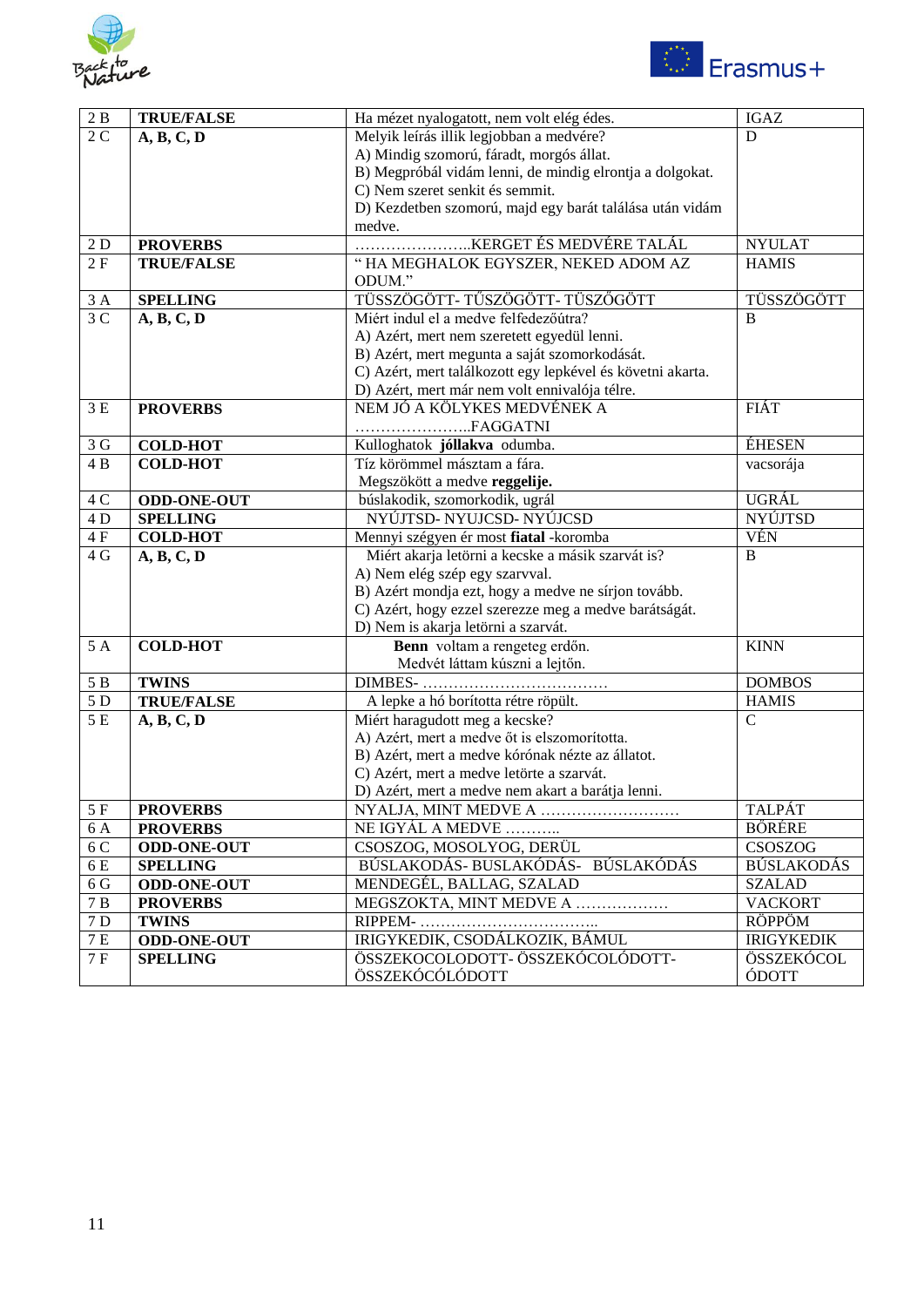



| $2\ \mathrm{B}$ | <b>TRUE/FALSE</b>  | Ha mézet nyalogatott, nem volt elég édes.                  | <b>IGAZ</b>       |
|-----------------|--------------------|------------------------------------------------------------|-------------------|
| 2 <sub>C</sub>  | A, B, C, D         | Melyik leírás illik legjobban a medvére?                   | D                 |
|                 |                    | A) Mindig szomorú, fáradt, morgós állat.                   |                   |
|                 |                    | B) Megpróbál vidám lenni, de mindig elrontja a dolgokat.   |                   |
|                 |                    | C) Nem szeret senkit és semmit.                            |                   |
|                 |                    | D) Kezdetben szomorú, majd egy barát találása után vidám   |                   |
|                 |                    | medve.                                                     |                   |
| 2D              | <b>PROVERBS</b>    | KERGET ÉS MEDVÉRE TALÁL                                    | <b>NYULAT</b>     |
| 2F              | <b>TRUE/FALSE</b>  | "HA MEGHALOK EGYSZER, NEKED ADOM AZ                        | <b>HAMIS</b>      |
|                 |                    | ODUM."                                                     |                   |
| 3A              | <b>SPELLING</b>    | TÜSSZÖGÖTT- TŰSZÖGÖTT- TÜSZŐGÖTT                           | TÜSSZÖGÖTT        |
| $\overline{3C}$ | A, B, C, D         | Miért indul el a medve felfedezőútra?                      | B                 |
|                 |                    | A) Azért, mert nem szeretett egyedül lenni.                |                   |
|                 |                    | B) Azért, mert megunta a saját szomorkodását.              |                   |
|                 |                    | C) Azért, mert találkozott egy lepkével és követni akarta. |                   |
|                 |                    | D) Azért, mert már nem volt ennivalója télre.              |                   |
| 3E              | <b>PROVERBS</b>    | NEM JÓ A KÖLYKES MEDVÉNEK A                                | <b>FIÁT</b>       |
|                 |                    | FAGGATNI                                                   |                   |
| 3 <sub>G</sub>  | <b>COLD-HOT</b>    | Kulloghatok jóllakva odumba.                               | <b>ÉHESEN</b>     |
| 4B              | <b>COLD-HOT</b>    | Tíz körömmel másztam a fára.                               | vacsorája         |
|                 |                    | Megszökött a medve reggelije.                              |                   |
| $4C$            | <b>ODD-ONE-OUT</b> | búslakodik, szomorkodik, ugrál                             | UGRÁL             |
| 4 D             | <b>SPELLING</b>    | NYÚJTSD- NYUJCSD- NYÚJCSD                                  | <b>NYÚJTSD</b>    |
| $4F$            | <b>COLD-HOT</b>    | Mennyi szégyen ér most fiatal -koromba                     | <b>VÉN</b>        |
| 4 G             | A, B, C, D         | Miért akarja letörni a kecske a másik szarvát is?          | $\bf{B}$          |
|                 |                    | A) Nem elég szép egy szarvval.                             |                   |
|                 |                    | B) Azért mondja ezt, hogy a medve ne sírjon tovább.        |                   |
|                 |                    | C) Azért, hogy ezzel szerezze meg a medve barátságát.      |                   |
|                 |                    | D) Nem is akarja letörni a szarvát.                        |                   |
| 5 A             | <b>COLD-HOT</b>    | Benn voltam a rengeteg erdőn.                              | <b>KINN</b>       |
|                 |                    | Medvét láttam kúszni a lejtőn.                             |                   |
| $5B$            | <b>TWINS</b>       | <b>DIMBES-</b>                                             | <b>DOMBOS</b>     |
| 5 D             | <b>TRUE/FALSE</b>  | A lepke a hó borította rétre röpült.                       | <b>HAMIS</b>      |
| 5 E             | A, B, C, D         | Miért haragudott meg a kecske?                             | $\mathcal{C}$     |
|                 |                    | A) Azért, mert a medve őt is elszomorította.               |                   |
|                 |                    | B) Azért, mert a medve kórónak nézte az állatot.           |                   |
|                 |                    | C) Azért, mert a medve letörte a szarvát.                  |                   |
|                 |                    | D) Azért, mert a medve nem akart a barátja lenni.          |                   |
| 5 F             | <b>PROVERBS</b>    | NYALJA, MINT MEDVE A                                       | <b>TALPAT</b>     |
| 6 A             | <b>PROVERBS</b>    | NE IGYÁL A MEDVE                                           | <b>BÖRÉRE</b>     |
| 6 C             | <b>ODD-ONE-OUT</b> | CSOSZOG, MOSOLYOG, DERÜL                                   | CSOSZOG           |
| 6E              | <b>SPELLING</b>    | BÚSLAKODÁS-BUSLAKÓDÁS- BÚSLAKÓDÁS                          | <b>BÚSLAKODÁS</b> |
| 6 <sub>G</sub>  | <b>ODD-ONE-OUT</b> | MENDEGÉL, BALLAG, SZALAD                                   | <b>SZALAD</b>     |
| $7\overline{B}$ | <b>PROVERBS</b>    | MEGSZOKTA, MINT MEDVE A                                    | <b>VACKORT</b>    |
| $7\,\mathrm{D}$ | <b>TWINS</b>       | RIPPEM-                                                    | <b>RÖPPÖM</b>     |
| $7\,\mathrm{E}$ | <b>ODD-ONE-OUT</b> | IRIGYKEDIK, CSODÁLKOZIK, BÁMUL                             | <b>IRIGYKEDIK</b> |
| 7F              | <b>SPELLING</b>    | ÖSSZEKOCOLODOTT- ÖSSZEKÓCOLÓDOTT-                          | ÖSSZEKÓCOL        |
|                 |                    | ÖSSZEKÓCÓLÓDOTT                                            | ÓDOTT             |